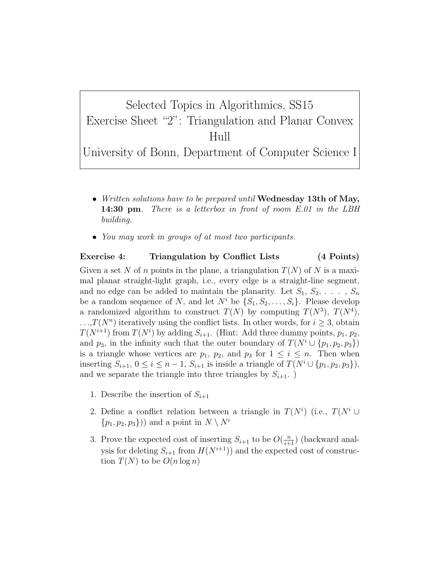Selected Topics in Algorithmics, SS15 Exercise Sheet "2": Triangulation and Planar Convex Hull

University of Bonn, Department of Computer Science I

- Written solutions have to be prepared until **Wednesday 13th of May**, **14:30 pm**. There is a letterbox in front of room E.01 in the LBH building.
- You may work in groups of at most two participants.

## Exercise 4: Triangulation by Conflict Lists (4 Points)

Given a set N of n points in the plane, a triangulation  $T(N)$  of N is a maximal planar straight-light graph, i.e., every edge is a straight-line segment, and no edge can be added to maintain the planarity. Let  $S_1, S_2, \ldots, S_n$ be a random sequence of N, and let  $N^i$  be  $\{S_1, S_2, \ldots, S_i\}$ . Please develop a randomized algorithm to construct  $T(N)$  by computing  $T(N^3)$ ,  $T(N^4)$ ,  $\ldots$ ,  $T(N^n)$  iteratively using the conflict lists. In other words, for  $i \geq 3$ , obtain  $T(N^{i+1})$  from  $T(N^i)$  by adding  $S_{i+1}$ . (Hint: Add three dummy points,  $p_1, p_2$ , and  $p_3$ , in the infinity such that the outer boundary of  $T(N^i \cup \{p_1, p_2, p_3\})$ is a triangle whose vertices are  $p_1$ ,  $p_2$ , and  $p_3$  for  $1 \leq i \leq n$ . Then when inserting  $S_{i+1}$ ,  $0 \le i \le n-1$ ,  $S_{i+1}$  is inside a triangle of  $T(N^i \cup \{p_1, p_2, p_3\}),$ and we separate the triangle into three triangles by  $S_{i+1}$ .

- 1. Describe the insertion of  $S_{i+1}$
- 2. Define a conflict relation between a triangle in  $T(N^i)$  (i.e.,  $T(N^i \cup$  $\{p_1, p_2, p_3\})$  and a point in  $N \setminus N^i$
- 3. Prove the expected cost of inserting  $S_{i+1}$  to be  $O(\frac{n}{i+1})$  (backward analysis for deleting  $S_{i+1}$  from  $H(N^{i+1})$  and the expected cost of construction  $T(N)$  to be  $O(n \log n)$